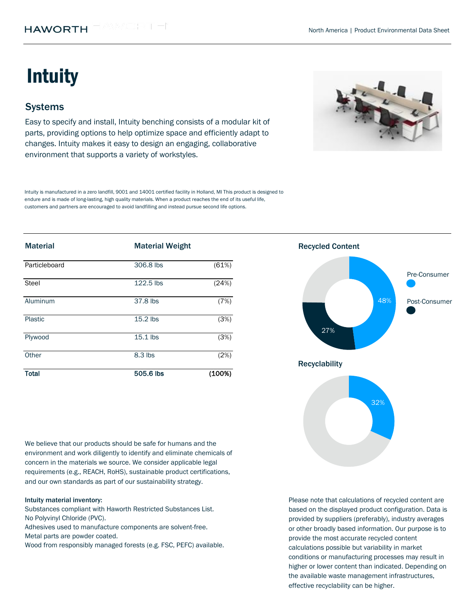# **Intuity**

## **Systems**

Easy to specify and install, Intuity benching consists of a modular kit of parts, providing options to help optimize space and efficiently adapt to changes. Intuity makes it easy to design an engaging, collaborative environment that supports a variety of workstyles.



Intuity is manufactured in a zero landfill, 9001 and 14001 certified facility in Holland, MI This product is designed to endure and is made of long-lasting, high quality materials. When a product reaches the end of its useful life, customers and partners are encouraged to avoid landfilling and instead pursue second life options.

| <b>Material</b> | <b>Material Weight</b> |        | <b>Recycled Content</b> |
|-----------------|------------------------|--------|-------------------------|
| Particleboard   | 306.8 lbs              | (61%)  | Pre-Consumer            |
| Steel           | 122.5 lbs              | (24%)  |                         |
| Aluminum        | 37.8 lbs               | (7%)   | 48%<br>Post-Consumer    |
| Plastic         | 15.2 lbs               | (3%)   |                         |
| Plywood         | 15.1 lbs               | (3%)   | 27%                     |
| Other           | 8.3 lbs                | (2%)   |                         |
| <b>Total</b>    | 505.6 lbs              | (100%) | <b>Recyclability</b>    |

We believe that our products should be safe for humans and the environment and work diligently to identify and eliminate chemicals of concern in the materials we source. We consider applicable legal requirements (e.g., REACH, RoHS), sustainable product certifications, and our own standards as part of our sustainability strategy.

#### Intuity material inventory:

Substances compliant with Haworth Restricted Substances List. No Polyvinyl Chloride (PVC).

Metal parts are powder coated. Adhesives used to manufacture components are solvent-free.

Wood from responsibly managed forests (e.g. FSC, PEFC) available.

Recycled Content



Please note that calculations of recycled content are based on the displayed product configuration. Data is provided by suppliers (preferably), industry averages or other broadly based information. Our purpose is to provide the most accurate recycled content calculations possible but variability in market conditions or manufacturing processes may result in higher or lower content than indicated. Depending on the available waste management infrastructures, effective recyclability can be higher.